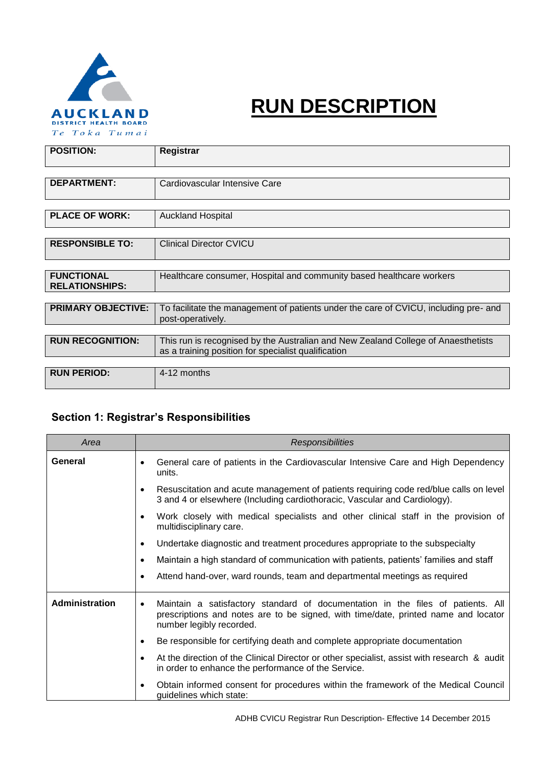

# **RUN DESCRIPTION**

| <b>POSITION:</b>                           | Registrar                                                                                                                                |  |  |  |
|--------------------------------------------|------------------------------------------------------------------------------------------------------------------------------------------|--|--|--|
|                                            |                                                                                                                                          |  |  |  |
| <b>DEPARTMENT:</b>                         | Cardiovascular Intensive Care                                                                                                            |  |  |  |
|                                            |                                                                                                                                          |  |  |  |
| <b>PLACE OF WORK:</b>                      | <b>Auckland Hospital</b>                                                                                                                 |  |  |  |
|                                            |                                                                                                                                          |  |  |  |
| <b>RESPONSIBLE TO:</b>                     | <b>Clinical Director CVICU</b>                                                                                                           |  |  |  |
|                                            |                                                                                                                                          |  |  |  |
| <b>FUNCTIONAL</b><br><b>RELATIONSHIPS:</b> | Healthcare consumer, Hospital and community based healthcare workers                                                                     |  |  |  |
|                                            |                                                                                                                                          |  |  |  |
| <b>PRIMARY OBJECTIVE:</b>                  | To facilitate the management of patients under the care of CVICU, including pre- and<br>post-operatively.                                |  |  |  |
|                                            |                                                                                                                                          |  |  |  |
| <b>RUN RECOGNITION:</b>                    | This run is recognised by the Australian and New Zealand College of Anaesthetists<br>as a training position for specialist qualification |  |  |  |
|                                            |                                                                                                                                          |  |  |  |
| <b>RUN PERIOD:</b>                         | 4-12 months                                                                                                                              |  |  |  |

## **Section 1: Registrar's Responsibilities**

| Area           | Responsibilities                                                                                                                                                                                               |  |  |  |  |
|----------------|----------------------------------------------------------------------------------------------------------------------------------------------------------------------------------------------------------------|--|--|--|--|
| General        | General care of patients in the Cardiovascular Intensive Care and High Dependency<br>$\bullet$<br>units.                                                                                                       |  |  |  |  |
|                | Resuscitation and acute management of patients requiring code red/blue calls on level<br>$\bullet$<br>3 and 4 or elsewhere (Including cardiothoracic, Vascular and Cardiology).                                |  |  |  |  |
|                | Work closely with medical specialists and other clinical staff in the provision of<br>$\bullet$<br>multidisciplinary care.                                                                                     |  |  |  |  |
|                | Undertake diagnostic and treatment procedures appropriate to the subspecialty<br>$\bullet$                                                                                                                     |  |  |  |  |
|                | Maintain a high standard of communication with patients, patients' families and staff<br>$\bullet$                                                                                                             |  |  |  |  |
|                | Attend hand-over, ward rounds, team and departmental meetings as required<br>$\bullet$                                                                                                                         |  |  |  |  |
| Administration | Maintain a satisfactory standard of documentation in the files of patients. All<br>$\bullet$<br>prescriptions and notes are to be signed, with time/date, printed name and locator<br>number legibly recorded. |  |  |  |  |
|                | Be responsible for certifying death and complete appropriate documentation<br>$\bullet$                                                                                                                        |  |  |  |  |
|                | At the direction of the Clinical Director or other specialist, assist with research & audit<br>$\bullet$<br>in order to enhance the performance of the Service.                                                |  |  |  |  |
|                | Obtain informed consent for procedures within the framework of the Medical Council<br>$\bullet$<br>guidelines which state:                                                                                     |  |  |  |  |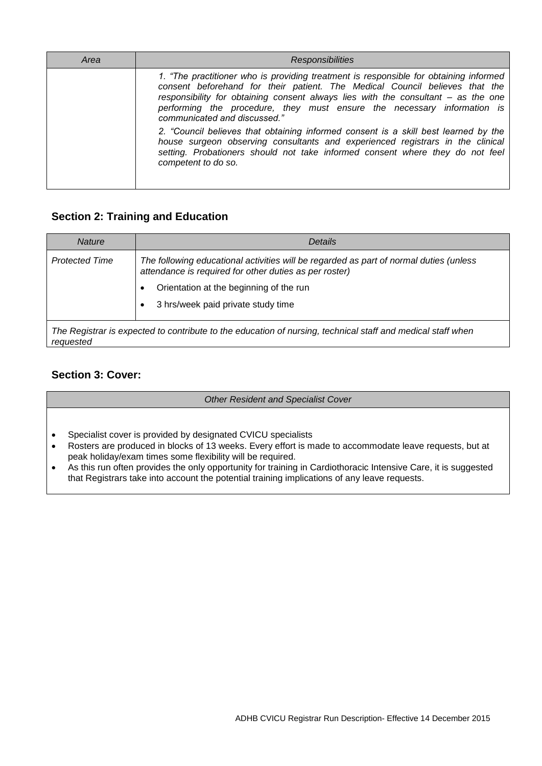| Area | <b>Responsibilities</b>                                                                                                                                                                                                                                                                                                                                              |
|------|----------------------------------------------------------------------------------------------------------------------------------------------------------------------------------------------------------------------------------------------------------------------------------------------------------------------------------------------------------------------|
|      | 1. "The practitioner who is providing treatment is responsible for obtaining informed<br>consent beforehand for their patient. The Medical Council believes that the<br>responsibility for obtaining consent always lies with the consultant – as the one<br>performing the procedure, they must ensure the necessary information is<br>communicated and discussed." |
|      | 2. "Council believes that obtaining informed consent is a skill best learned by the<br>house surgeon observing consultants and experienced registrars in the clinical<br>setting. Probationers should not take informed consent where they do not feel<br>competent to do so.                                                                                        |

## **Section 2: Training and Education**

| <b>Nature</b>         | Details                                                                                                                                          |  |  |  |
|-----------------------|--------------------------------------------------------------------------------------------------------------------------------------------------|--|--|--|
| <b>Protected Time</b> | The following educational activities will be regarded as part of normal duties (unless<br>attendance is required for other duties as per roster) |  |  |  |
|                       | Orientation at the beginning of the run                                                                                                          |  |  |  |
|                       | 3 hrs/week paid private study time                                                                                                               |  |  |  |
| requested             | The Registrar is expected to contribute to the education of nursing, technical staff and medical staff when                                      |  |  |  |

#### **Section 3: Cover:**

*Other Resident and Specialist Cover*

- Specialist cover is provided by designated CVICU specialists
- Rosters are produced in blocks of 13 weeks. Every effort is made to accommodate leave requests, but at peak holiday/exam times some flexibility will be required.
- As this run often provides the only opportunity for training in Cardiothoracic Intensive Care, it is suggested that Registrars take into account the potential training implications of any leave requests.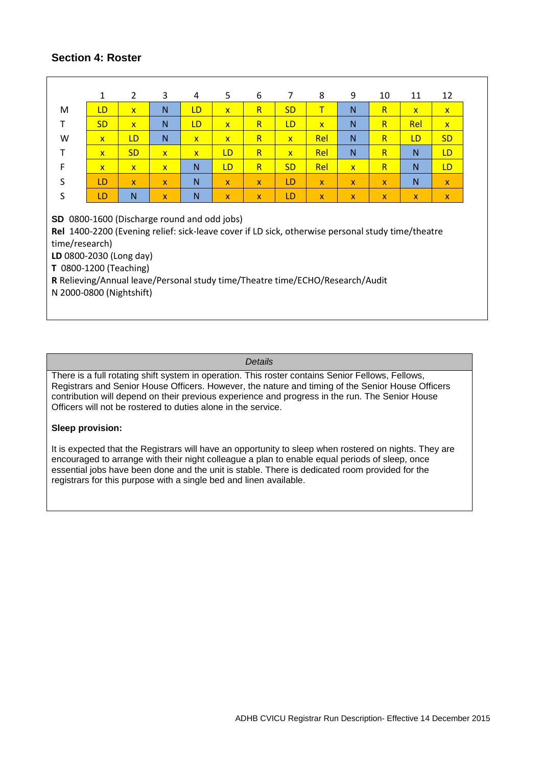#### **Section 4: Roster**

|                                                                                                                                                                                                                                                                                                                                      | 1            | $\overline{2}$ | 3            | 4                       | 5              | 6            | 7            | 8            | 9            | 10           | 11           | 12           |
|--------------------------------------------------------------------------------------------------------------------------------------------------------------------------------------------------------------------------------------------------------------------------------------------------------------------------------------|--------------|----------------|--------------|-------------------------|----------------|--------------|--------------|--------------|--------------|--------------|--------------|--------------|
| M                                                                                                                                                                                                                                                                                                                                    | LD           | $\mathbf{x}$   | N            | LD                      | $\mathbf{x}$   | R            | <b>SD</b>    | Τ            | N            | R            | $\mathbf{x}$ | $\mathsf{x}$ |
| т                                                                                                                                                                                                                                                                                                                                    | <b>SD</b>    | $\mathbf{x}$   | N            | LD                      | $\mathsf{x}$   | $\mathsf{R}$ | LD           | $\mathsf{x}$ | N            | $\mathsf{R}$ | Rel          | $\mathsf{x}$ |
| W                                                                                                                                                                                                                                                                                                                                    | $\mathbf{x}$ | LD             | N            | $\overline{\mathsf{x}}$ | $\overline{X}$ | $\mathsf{R}$ | $\mathbf{x}$ | Rel          | N            | $\mathsf{R}$ | LD           | <b>SD</b>    |
| т                                                                                                                                                                                                                                                                                                                                    | $\mathsf{x}$ | <b>SD</b>      | $\mathsf{x}$ | $\overline{\mathsf{x}}$ | LD             | $\mathsf{R}$ | $\mathsf{x}$ | Rel          | N            | $\mathsf{R}$ | N            | LD.          |
| F                                                                                                                                                                                                                                                                                                                                    | $\mathbf{x}$ | $\mathbf{x}$   | $\mathbf{x}$ | N                       | LD             | $\mathsf{R}$ | <b>SD</b>    | Rel          | $\mathbf{x}$ | $\mathsf{R}$ | N            | LD.          |
| S                                                                                                                                                                                                                                                                                                                                    | LD           | $\mathbf{x}$   | $\mathbf{x}$ | N                       | $\mathbf{x}$   | $\mathbf{x}$ | LD           | $\mathbf{x}$ | $\mathbf{x}$ | $\mathbf{x}$ | N            | $\mathbf{x}$ |
| $\sf S$                                                                                                                                                                                                                                                                                                                              | LD           | N              | $\mathbf{x}$ | N                       | X.             | $\mathbf{x}$ | LD           | $\mathsf{x}$ | $\mathsf{x}$ | $\mathsf{x}$ | $\mathsf{x}$ | $\mathsf{X}$ |
| SD 0800-1600 (Discharge round and odd jobs)<br>Rel 1400-2200 (Evening relief: sick-leave cover if LD sick, otherwise personal study time/theatre<br>time/research)<br>LD 0800-2030 (Long day)<br>T 0800-1200 (Teaching)<br>R Relieving/Annual leave/Personal study time/Theatre time/ECHO/Research/Audit<br>N 2000-0800 (Nightshift) |              |                |              |                         |                |              |              |              |              |              |              |              |

#### *Details*

There is a full rotating shift system in operation. This roster contains Senior Fellows, Fellows, Registrars and Senior House Officers. However, the nature and timing of the Senior House Officers contribution will depend on their previous experience and progress in the run. The Senior House Officers will not be rostered to duties alone in the service.

#### **Sleep provision:**

It is expected that the Registrars will have an opportunity to sleep when rostered on nights. They are encouraged to arrange with their night colleague a plan to enable equal periods of sleep, once essential jobs have been done and the unit is stable. There is dedicated room provided for the registrars for this purpose with a single bed and linen available.